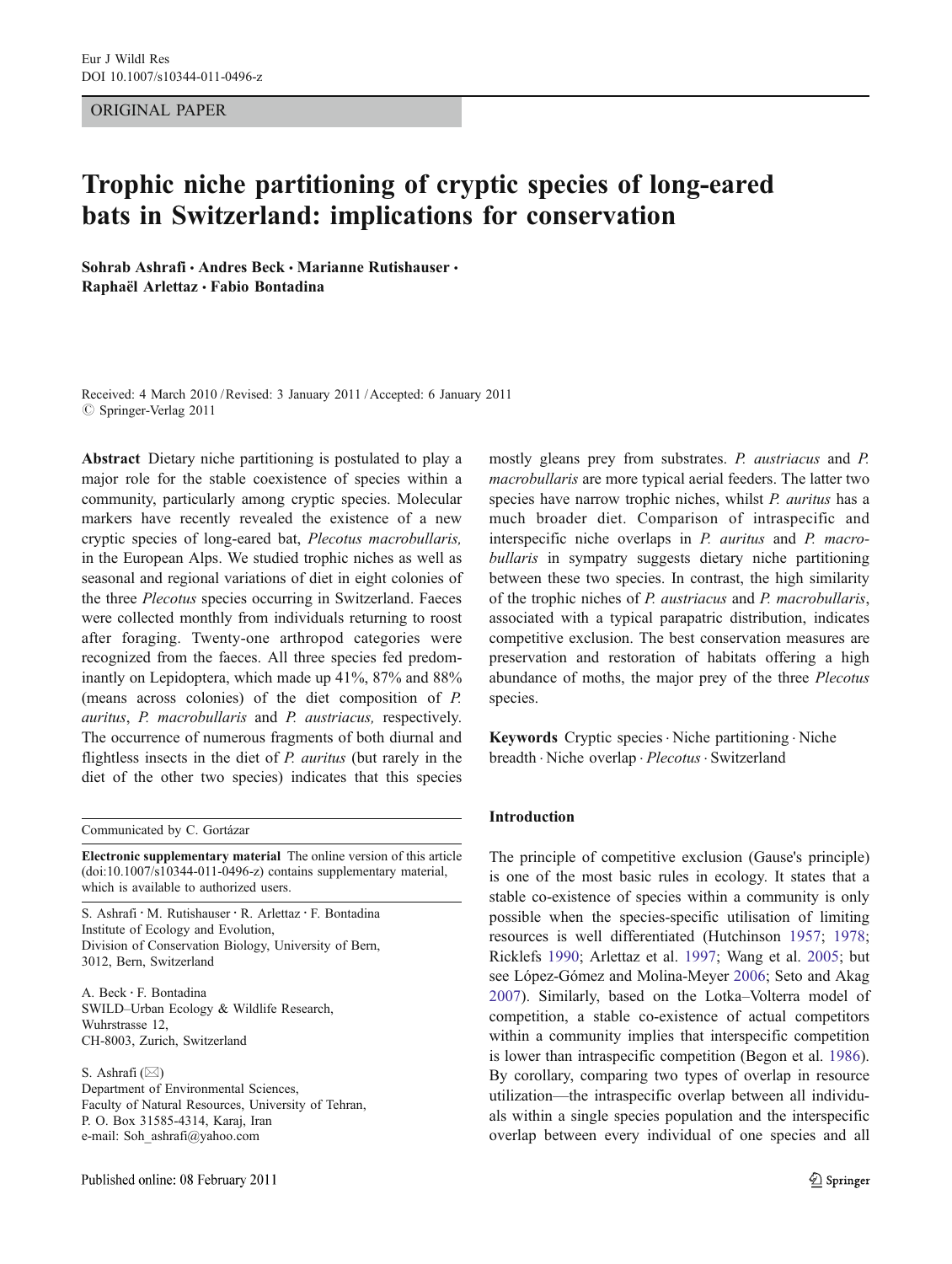#### ORIGINAL PAPER

# Trophic niche partitioning of cryptic species of long-eared bats in Switzerland: implications for conservation

Sohrab Ashrafi · Andres Beck · Marianne Rutishauser · Raphaël Arlettaz · Fabio Bontadina

Received: 4 March 2010 /Revised: 3 January 2011 /Accepted: 6 January 2011  $\oslash$  Springer-Verlag 2011

Abstract Dietary niche partitioning is postulated to play a major role for the stable coexistence of species within a community, particularly among cryptic species. Molecular markers have recently revealed the existence of a new cryptic species of long-eared bat, Plecotus macrobullaris, in the European Alps. We studied trophic niches as well as seasonal and regional variations of diet in eight colonies of the three Plecotus species occurring in Switzerland. Faeces were collected monthly from individuals returning to roost after foraging. Twenty-one arthropod categories were recognized from the faeces. All three species fed predominantly on Lepidoptera, which made up 41%, 87% and 88% (means across colonies) of the diet composition of P. auritus, P. macrobullaris and P. austriacus, respectively. The occurrence of numerous fragments of both diurnal and flightless insects in the diet of P. *auritus* (but rarely in the diet of the other two species) indicates that this species

Communicated by C. Gortázar

Electronic supplementary material The online version of this article (doi:[10.1007/s10344-011-0496-z](http://dx.doi.org/10.1007/s10344-011-0496-z)) contains supplementary material, which is available to authorized users.

S. Ashrafi : M. Rutishauser : R. Arlettaz : F. Bontadina Institute of Ecology and Evolution, Division of Conservation Biology, University of Bern, 3012, Bern, Switzerland

A. Beck : F. Bontadina SWILD–Urban Ecology & Wildlife Research, Wuhrstrasse 12, CH-8003, Zurich, Switzerland

S. Ashrafi  $(\boxtimes)$ Department of Environmental Sciences, Faculty of Natural Resources, University of Tehran, P. O. Box 31585-4314, Karaj, Iran e-mail: Soh\_ashrafi@yahoo.com

mostly gleans prey from substrates. P. austriacus and P. macrobullaris are more typical aerial feeders. The latter two species have narrow trophic niches, whilst P. auritus has a much broader diet. Comparison of intraspecific and interspecific niche overlaps in P. auritus and P. macrobullaris in sympatry suggests dietary niche partitioning between these two species. In contrast, the high similarity of the trophic niches of P. austriacus and P. macrobullaris, associated with a typical parapatric distribution, indicates competitive exclusion. The best conservation measures are preservation and restoration of habitats offering a high abundance of moths, the major prey of the three Plecotus species.

Keywords Cryptic species. Niche partitioning . Niche breadth · Niche overlap · Plecotus · Switzerland

## Introduction

The principle of competitive exclusion (Gause's principle) is one of the most basic rules in ecology. It states that a stable co-existence of species within a community is only possible when the species-specific utilisation of limiting resources is well differentiated (Hutchinson [1957;](#page-5-0) [1978;](#page-6-0) Ricklefs [1990;](#page-6-0) Arlettaz et al. [1997](#page-5-0); Wang et al. [2005](#page-6-0); but see López-Gómez and Molina-Meyer [2006](#page-6-0); Seto and Akag [2007](#page-6-0)). Similarly, based on the Lotka–Volterra model of competition, a stable co-existence of actual competitors within a community implies that interspecific competition is lower than intraspecific competition (Begon et al. [1986\)](#page-5-0). By corollary, comparing two types of overlap in resource utilization—the intraspecific overlap between all individuals within a single species population and the interspecific overlap between every individual of one species and all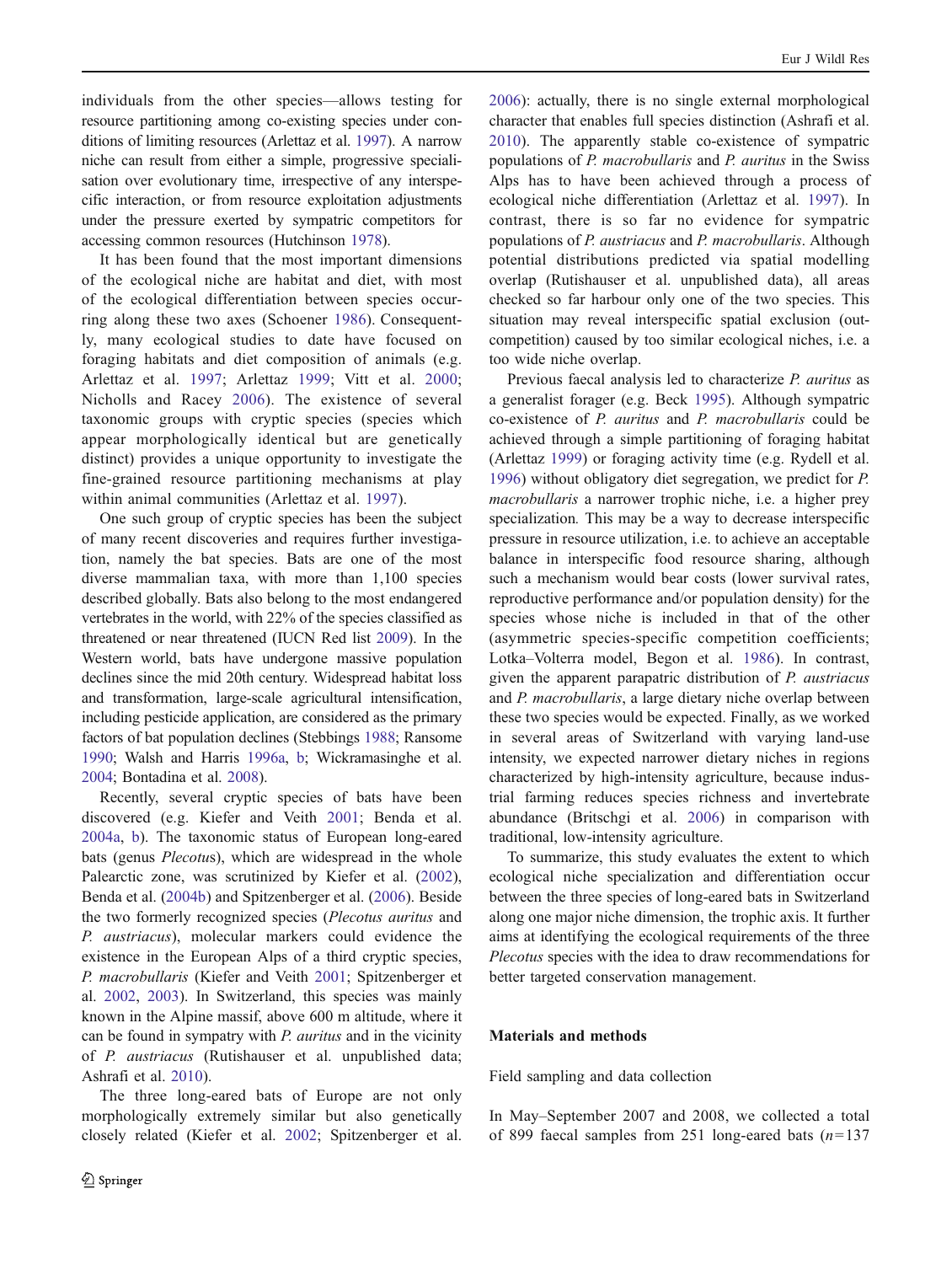individuals from the other species—allows testing for resource partitioning among co-existing species under conditions of limiting resources (Arlettaz et al. [1997](#page-5-0)). A narrow niche can result from either a simple, progressive specialisation over evolutionary time, irrespective of any interspecific interaction, or from resource exploitation adjustments under the pressure exerted by sympatric competitors for accessing common resources (Hutchinson [1978](#page-6-0)).

It has been found that the most important dimensions of the ecological niche are habitat and diet, with most of the ecological differentiation between species occurring along these two axes (Schoener [1986](#page-6-0)). Consequently, many ecological studies to date have focused on foraging habitats and diet composition of animals (e.g. Arlettaz et al. [1997](#page-5-0); Arlettaz [1999;](#page-5-0) Vitt et al. [2000](#page-6-0); Nicholls and Racey [2006](#page-6-0)). The existence of several taxonomic groups with cryptic species (species which appear morphologically identical but are genetically distinct) provides a unique opportunity to investigate the fine-grained resource partitioning mechanisms at play within animal communities (Arlettaz et al. [1997\)](#page-5-0).

One such group of cryptic species has been the subject of many recent discoveries and requires further investigation, namely the bat species. Bats are one of the most diverse mammalian taxa, with more than 1,100 species described globally. Bats also belong to the most endangered vertebrates in the world, with 22% of the species classified as threatened or near threatened (IUCN Red list [2009](#page-6-0)). In the Western world, bats have undergone massive population declines since the mid 20th century. Widespread habitat loss and transformation, large-scale agricultural intensification, including pesticide application, are considered as the primary factors of bat population declines (Stebbings [1988](#page-6-0); Ransome [1990;](#page-6-0) Walsh and Harris [1996a](#page-6-0), [b;](#page-6-0) Wickramasinghe et al. [2004;](#page-6-0) Bontadina et al. [2008\)](#page-5-0).

Recently, several cryptic species of bats have been discovered (e.g. Kiefer and Veith [2001;](#page-6-0) Benda et al. [2004a](#page-5-0), [b](#page-5-0)). The taxonomic status of European long-eared bats (genus Plecotus), which are widespread in the whole Palearctic zone, was scrutinized by Kiefer et al. [\(2002](#page-6-0)), Benda et al. ([2004b\)](#page-5-0) and Spitzenberger et al. ([2006\)](#page-6-0). Beside the two formerly recognized species (Plecotus auritus and P. austriacus), molecular markers could evidence the existence in the European Alps of a third cryptic species, P. macrobullaris (Kiefer and Veith [2001;](#page-6-0) Spitzenberger et al. [2002](#page-6-0), [2003](#page-6-0)). In Switzerland, this species was mainly known in the Alpine massif, above 600 m altitude, where it can be found in sympatry with P. auritus and in the vicinity of P. austriacus (Rutishauser et al. unpublished data; Ashrafi et al. [2010\)](#page-5-0).

The three long-eared bats of Europe are not only morphologically extremely similar but also genetically closely related (Kiefer et al. [2002](#page-6-0); Spitzenberger et al.

[2006](#page-6-0)): actually, there is no single external morphological character that enables full species distinction (Ashrafi et al. [2010](#page-5-0)). The apparently stable co-existence of sympatric populations of P. macrobullaris and P. auritus in the Swiss Alps has to have been achieved through a process of ecological niche differentiation (Arlettaz et al. [1997](#page-5-0)). In contrast, there is so far no evidence for sympatric populations of P. austriacus and P. macrobullaris. Although potential distributions predicted via spatial modelling overlap (Rutishauser et al. unpublished data), all areas checked so far harbour only one of the two species. This situation may reveal interspecific spatial exclusion (outcompetition) caused by too similar ecological niches, i.e. a too wide niche overlap.

Previous faecal analysis led to characterize P. auritus as a generalist forager (e.g. Beck [1995](#page-5-0)). Although sympatric co-existence of P. auritus and P. macrobullaris could be achieved through a simple partitioning of foraging habitat (Arlettaz [1999](#page-5-0)) or foraging activity time (e.g. Rydell et al. [1996](#page-6-0)) without obligatory diet segregation, we predict for P. macrobullaris a narrower trophic niche, i.e. a higher prey specialization. This may be a way to decrease interspecific pressure in resource utilization, i.e. to achieve an acceptable balance in interspecific food resource sharing, although such a mechanism would bear costs (lower survival rates, reproductive performance and/or population density) for the species whose niche is included in that of the other (asymmetric species-specific competition coefficients; Lotka–Volterra model, Begon et al. [1986\)](#page-5-0). In contrast, given the apparent parapatric distribution of P. austriacus and P. macrobullaris, a large dietary niche overlap between these two species would be expected. Finally, as we worked in several areas of Switzerland with varying land-use intensity, we expected narrower dietary niches in regions characterized by high-intensity agriculture, because industrial farming reduces species richness and invertebrate abundance (Britschgi et al. [2006](#page-5-0)) in comparison with traditional, low-intensity agriculture.

To summarize, this study evaluates the extent to which ecological niche specialization and differentiation occur between the three species of long-eared bats in Switzerland along one major niche dimension, the trophic axis. It further aims at identifying the ecological requirements of the three Plecotus species with the idea to draw recommendations for better targeted conservation management.

## Materials and methods

Field sampling and data collection

In May–September 2007 and 2008, we collected a total of 899 faecal samples from 251 long-eared bats  $(n=137)$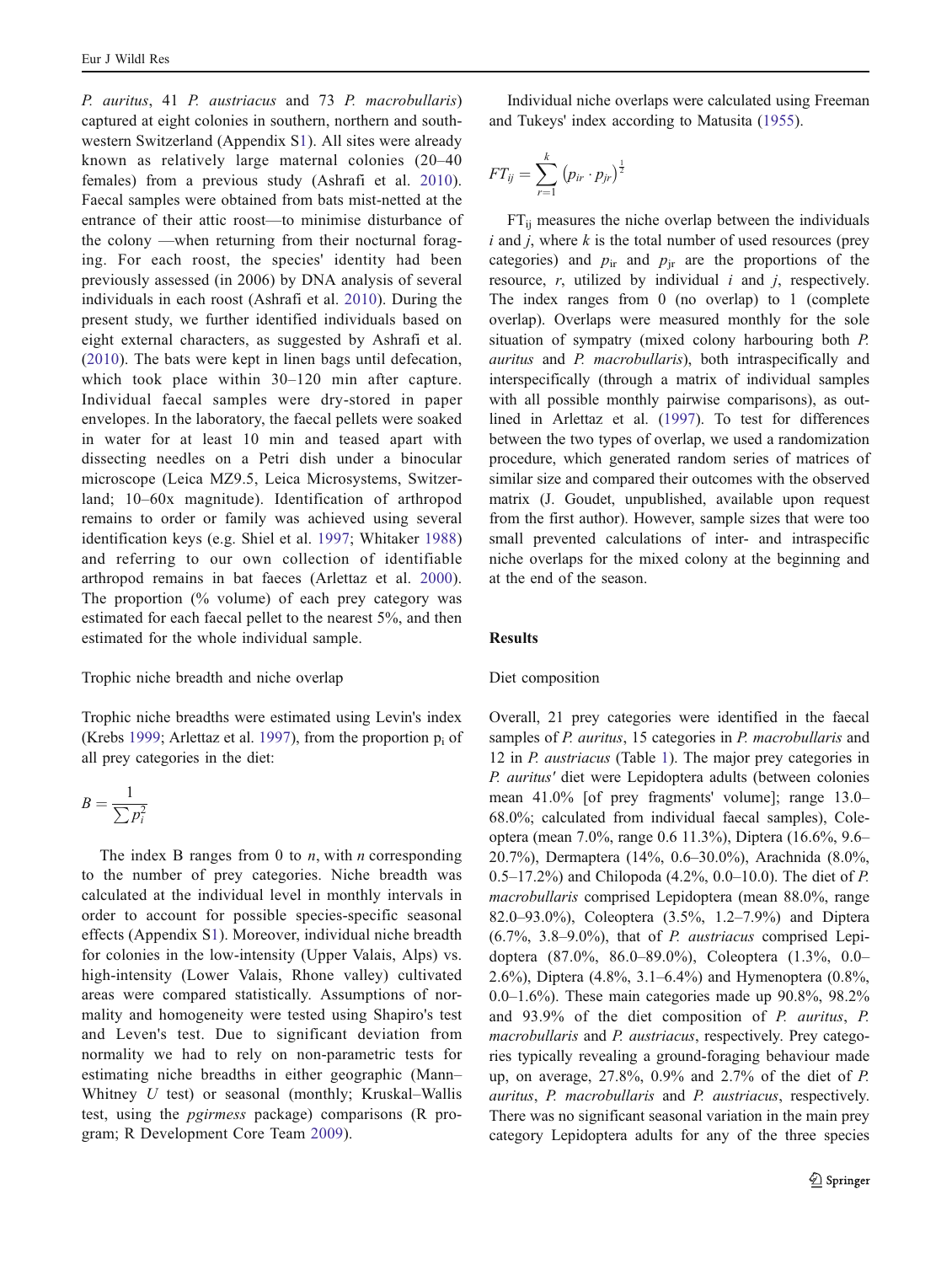P. auritus, 41 P. austriacus and 73 P. macrobullaris) captured at eight colonies in southern, northern and southwestern Switzerland (Appendix S1). All sites were already known as relatively large maternal colonies (20–40 females) from a previous study (Ashrafi et al. [2010](#page-5-0)). Faecal samples were obtained from bats mist-netted at the entrance of their attic roost—to minimise disturbance of the colony —when returning from their nocturnal foraging. For each roost, the species' identity had been previously assessed (in 2006) by DNA analysis of several individuals in each roost (Ashrafi et al. [2010\)](#page-5-0). During the present study, we further identified individuals based on eight external characters, as suggested by Ashrafi et al. [\(2010\)](#page-5-0). The bats were kept in linen bags until defecation, which took place within 30–120 min after capture. Individual faecal samples were dry-stored in paper envelopes. In the laboratory, the faecal pellets were soaked in water for at least 10 min and teased apart with dissecting needles on a Petri dish under a binocular microscope (Leica MZ9.5, Leica Microsystems, Switzerland; 10–60x magnitude). Identification of arthropod remains to order or family was achieved using several identification keys (e.g. Shiel et al. [1997;](#page-6-0) Whitaker [1988\)](#page-6-0) and referring to our own collection of identifiable arthropod remains in bat faeces (Arlettaz et al. [2000](#page-5-0)). The proportion (% volume) of each prey category was estimated for each faecal pellet to the nearest 5%, and then estimated for the whole individual sample.

#### Trophic niche breadth and niche overlap

Trophic niche breadths were estimated using Levin's index (Krebs [1999](#page-6-0); Arlettaz et al. [1997\)](#page-5-0), from the proportion  $p_i$  of all prey categories in the diet:

$$
B = \frac{1}{\sum p_i^2}
$$

The index B ranges from 0 to  $n$ , with  $n$  corresponding to the number of prey categories. Niche breadth was calculated at the individual level in monthly intervals in order to account for possible species-specific seasonal effects (Appendix S1). Moreover, individual niche breadth for colonies in the low-intensity (Upper Valais, Alps) vs. high-intensity (Lower Valais, Rhone valley) cultivated areas were compared statistically. Assumptions of normality and homogeneity were tested using Shapiro's test and Leven's test. Due to significant deviation from normality we had to rely on non-parametric tests for estimating niche breadths in either geographic (Mann– Whitney U test) or seasonal (monthly; Kruskal–Wallis test, using the pgirmess package) comparisons (R program; R Development Core Team [2009\)](#page-6-0).

Individual niche overlaps were calculated using Freeman and Tukeys' index according to Matusita [\(1955](#page-6-0)).

$$
FT_{ij} = \sum_{r=1}^{k} (p_{ir} \cdot p_{jr})^{\frac{1}{2}}
$$

 $FT_{ii}$  measures the niche overlap between the individuals  $i$  and  $j$ , where  $k$  is the total number of used resources (prey categories) and  $p_{ir}$  and  $p_{jr}$  are the proportions of the resource,  $r$ , utilized by individual  $i$  and  $j$ , respectively. The index ranges from 0 (no overlap) to 1 (complete overlap). Overlaps were measured monthly for the sole situation of sympatry (mixed colony harbouring both P. auritus and P. macrobullaris), both intraspecifically and interspecifically (through a matrix of individual samples with all possible monthly pairwise comparisons), as outlined in Arlettaz et al. [\(1997](#page-5-0)). To test for differences between the two types of overlap, we used a randomization procedure, which generated random series of matrices of similar size and compared their outcomes with the observed matrix (J. Goudet, unpublished, available upon request from the first author). However, sample sizes that were too small prevented calculations of inter- and intraspecific niche overlaps for the mixed colony at the beginning and at the end of the season.

#### Results

#### Diet composition

Overall, 21 prey categories were identified in the faecal samples of P. auritus, 15 categories in P. macrobullaris and 12 in P. austriacus (Table [1\)](#page-3-0). The major prey categories in P. auritus' diet were Lepidoptera adults (between colonies mean 41.0% [of prey fragments' volume]; range 13.0– 68.0%; calculated from individual faecal samples), Coleoptera (mean 7.0%, range 0.6 11.3%), Diptera (16.6%, 9.6– 20.7%), Dermaptera (14%, 0.6–30.0%), Arachnida (8.0%, 0.5–17.2%) and Chilopoda  $(4.2\%, 0.0–10.0)$ . The diet of P. macrobullaris comprised Lepidoptera (mean 88.0%, range 82.0–93.0%), Coleoptera (3.5%, 1.2–7.9%) and Diptera  $(6.7\%, 3.8-9.0\%)$ , that of *P. austriacus* comprised Lepidoptera (87.0%, 86.0–89.0%), Coleoptera (1.3%, 0.0– 2.6%), Diptera (4.8%, 3.1–6.4%) and Hymenoptera (0.8%, 0.0–1.6%). These main categories made up  $90.8\%$ ,  $98.2\%$ and 93.9% of the diet composition of P. auritus, P. macrobullaris and P. austriacus, respectively. Prey categories typically revealing a ground-foraging behaviour made up, on average, 27.8%, 0.9% and 2.7% of the diet of P. auritus, P. macrobullaris and P. austriacus, respectively. There was no significant seasonal variation in the main prey category Lepidoptera adults for any of the three species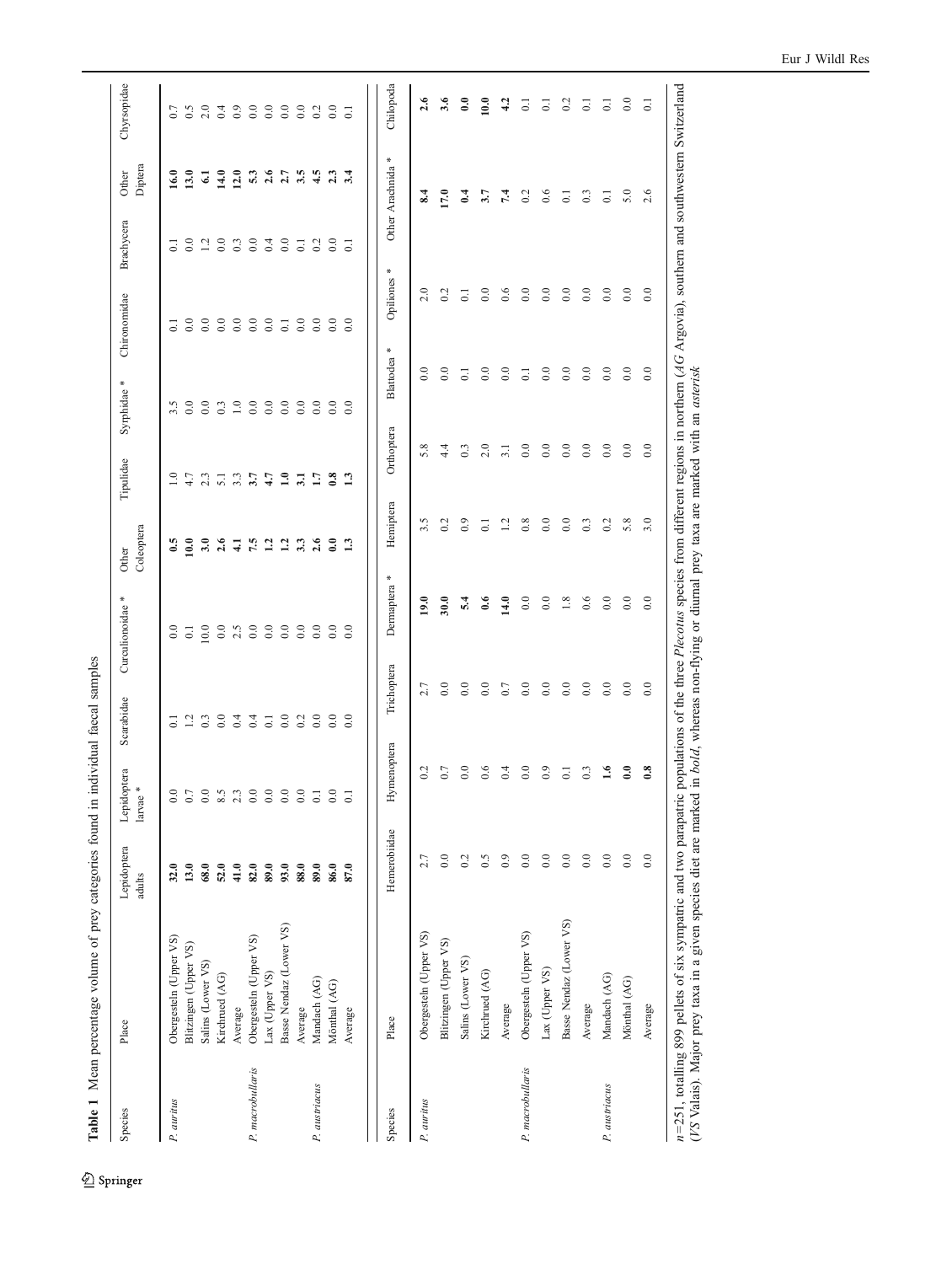<span id="page-3-0"></span>

| Species          | Place                   | Lepidoptera  | Lepidoptera         | Scarabidae     | Curculionoidae *        | Other             | Tipulidae        | Syrphidae <sup>*</sup> | Chironomidae      | Brachycera       | Other                | Chyrsopidae      |
|------------------|-------------------------|--------------|---------------------|----------------|-------------------------|-------------------|------------------|------------------------|-------------------|------------------|----------------------|------------------|
|                  |                         | adults       | larvae <sup>,</sup> |                |                         | Coleoptera        |                  |                        |                   |                  | Diptera              |                  |
| P. auritus       | Obergesteln (Upper VS)  | 32.0         | $\overline{0}$      | ਤ              | 0.0                     | $\ddot{\text{o}}$ | $\overline{1.0}$ | 3.5                    | ್                 | 5                | 16.0                 | 0.7              |
|                  | Blitzingen (Upper VS)   | 13.0         | 0.7                 |                | $\overline{C}$          | 10.0              | 4.7              | 0.0                    | 0.0               | $\overline{0.0}$ | 13.0                 | 0.5              |
|                  | Salins (Lower VS)       | 68.0         | $rac{6}{8}$         | $\degree$      | 10.0                    | 3.0               | 2.3              | 0.0                    | $_{\rm 0.0}$      | $\overline{12}$  | 5                    | 2.0              |
|                  | Kirchrued (AG)          | 52.0         |                     | 0.0            |                         | 2.6               | $\overline{5.1}$ | 0.3                    | 0.0               | 0.0              | 14.0                 | 0.4              |
|                  | Average                 | 41.0         | $\frac{2}{3}$ 0.0   | 0.4            | $0.0$<br>$2.5$<br>$0.0$ | $\overline{41}$   | 3.3              | $\overline{1.0}$       | 0.0               | 0.3              | 12.0                 | $_{0.9}$         |
| P. macrobullaris | Obergesteln (Upper VS)  | 82.0         |                     | 0.4            |                         | 7.5               | 3.7              | 0.0                    | 0.0               | 0.0              | 53                   | $\overline{0.0}$ |
|                  | Lax (Upper VS)          | 89.0         | $_{\rm 0.0}$        | $\overline{0}$ | $0.0\,$                 | 1.2               | 4.7              | 0.0                    | 0.0               | 0.4              | 2.6                  | 0.0              |
|                  | Basse Nendaz (Lower VS) | 93.0         | $\overline{0}$      | 0.0            | 0.0                     | $\overline{12}$   | $\mathbf{C}$     | 0.0                    | $\overline{0}$ .  | $_{0.0}$         | 2.7                  | 0.0              |
|                  | Average                 | 88.0         | $\overline{0}$      | 0.2            | 0.0                     | 3.3               | 3.1              | 0.0                    | $\overline{0}$ .0 | $\overline{0}$ . | 3.5                  | 0.0              |
| P. austriacus    | Mandach (AG)            | 89.0         | $\overline{0}$ .    | 0.0            | $_{0.0}$                | 2.6               | 1.7              | 0.0                    | 0.0               | 0.2              | 4.5                  | 0.2              |
|                  | Mönthal (AG)            | 86.0         | $\overline{0}$      | 0.0            | 0.0                     | $\ddot{\bullet}$  | 0.8              | 0.0                    | $\overline{0.0}$  | $\overline{0.0}$ | 2.3                  | $\overline{0.0}$ |
|                  | Average                 | 87.0         | $\overline{c}$      | 0.0            | 0.0                     | $\mathbf{r}$      | $\mathbf{r}$     | 0.0                    | 0.0               | $\overline{c}$   | 3.4                  | ਡ                |
|                  |                         |              |                     |                |                         |                   |                  |                        |                   |                  |                      |                  |
| Species          | Place                   | Hemerobiidae | Hymenoptera         | Trichoptera    | Dermaptera              | Hemiptera<br>∗    | Orthoptera       | Blattodea              | Opiliones<br>∗    | ₩                | ₩<br>Other Arachnida | Chilopoda        |
| P. auritus       | Obergesteln (Upper VS)  | 2.7          | 0.2                 | 2.7            | 19.0                    | 3.5               | 5.8              | 0.0                    | 2.0               |                  | 8.4                  | 2.6              |
|                  | Blitzingen (Upper VS)   | $_{\rm 0.0}$ | 0.7                 | $0.0\,$        | 30.0                    | 0.2               | 4.4              | 0.0                    | 0.2               |                  | 17.0                 | 3.6              |
|                  | Salins (Lower VS)       | 0.2          | 0.0                 | 0.0            | 5.4                     | $_{0.9}$          | 0.3              | $\overline{c}$         | $\overline{C}$    |                  | $\ddot{0}.4$         | $\mathbf{0.0}$   |
|                  | Kirchrued (AG)          | 0.5          | 0.6                 | 0.0            | 0.6                     | $\overline{0}$    | 2.0              | 0.0                    | 0.0               |                  | 3.7                  | 10.0             |
|                  | Average                 | 0.9          | 0.4                 | 0.7            | 14.0                    | 1.2               | $\overline{3.1}$ | 0.0                    | 0.6               |                  | 7.4                  | 4.2              |
| P. macrobullaris | Obergesteln (Upper VS)  | $_{\rm 0.0}$ | 0.0                 | 0.0            | 0.0                     | 0.8               | 0.0              | $\overline{C}$         | 0.0               |                  | 0.2                  | $\overline{0}$ . |
|                  | Lax (Upper VS)          | $_{\rm 0.0}$ | 0.9                 | 0.0            | 0.0                     | 0.0               | 0.0              | 0.0                    | 0.0               |                  | 0.6                  | $\overline{0}$ . |
|                  | Basse Nendaz (Lower VS) | $0.0\,$      | $\overline{0}$      | 0.0            | 1.8                     | 0.0               | 0.0              | 0.0                    | 0.0               |                  | $\overline{0}$ :     | 0.2              |
|                  | Average                 | $0.0\,$      | $\ddot{0}$          | 0.0            | 0.6                     | $0.\overline{3}$  | 0.0              | 0.0                    | 0.0               |                  | $0.\overline{3}$     | $\overline{0}$   |
| P. austriacus    | Mandach (AG)            | $_{\rm 0.0}$ | $\frac{6}{1}$       | 0.0            | 0.0                     | 0.2               | 0.0              | 0.0                    | 0.0               |                  | $\overline{0}$ .     | $\overline{0}$ . |
|                  | Mönthal (AG)            | $_{\odot}$   | $\ddot{0}$ .        | 0.0            | 0.0                     | 5.8               | 0.0              | 0.0                    | 0.0               |                  | 5.0                  | $\ddot{0}$ .0    |
|                  | Average                 | $_{0.0}$     | $\ddot{\textbf{8}}$ | 0.0            | 0.0                     | 3.0               | 0.0              | 0.0                    | 0.0               |                  | 2.6                  | $\overline{0}$   |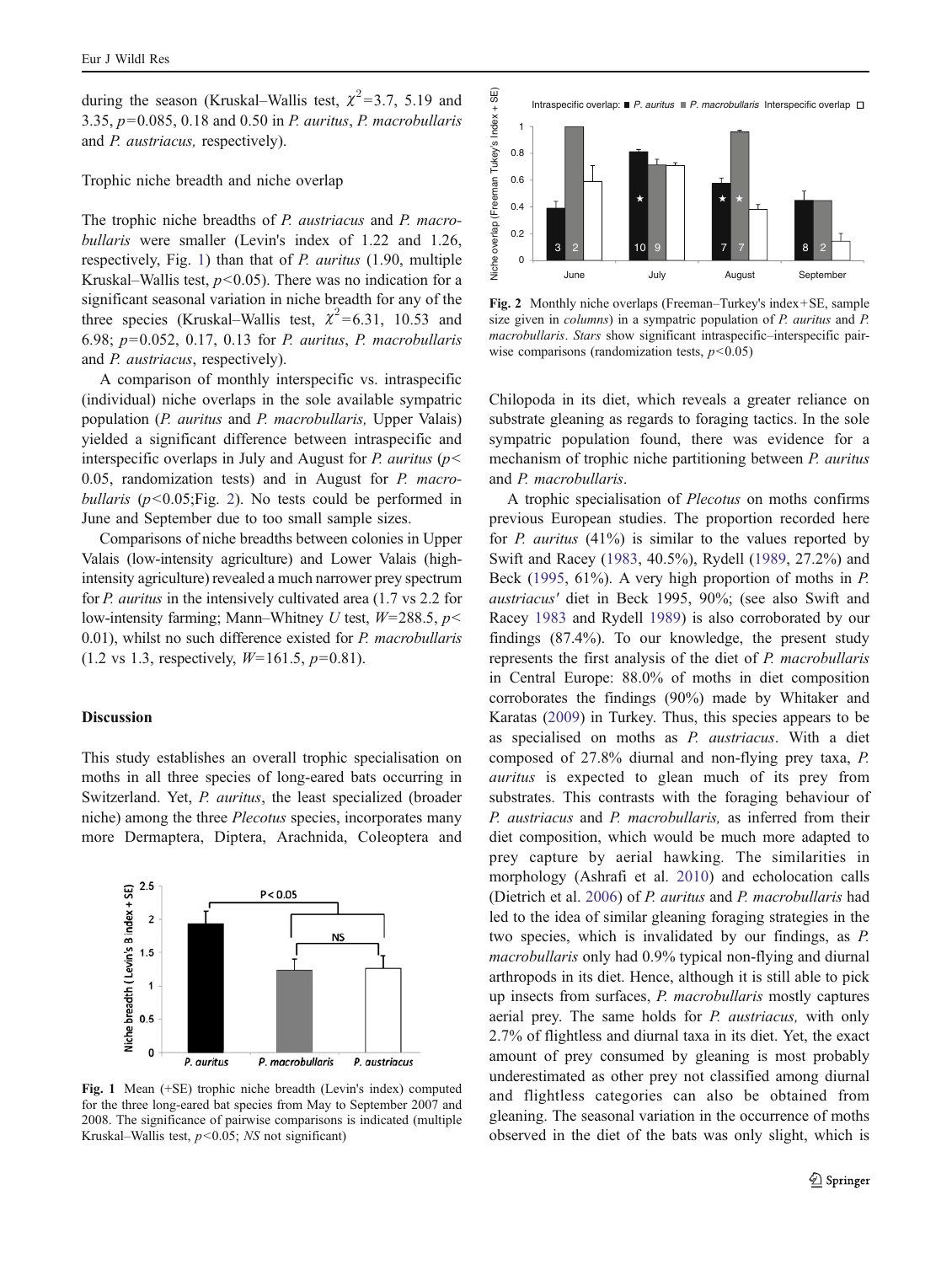during the season (Kruskal–Wallis test,  $\chi^2$ =3.7, 5.19 and 3.35,  $p=0.085$ , 0.18 and 0.50 in *P. auritus*, *P. macrobullaris* and P. austriacus, respectively).

Trophic niche breadth and niche overlap

The trophic niche breadths of P. austriacus and P. macrobullaris were smaller (Levin's index of 1.22 and 1.26, respectively, Fig. 1) than that of P. auritus (1.90, multiple Kruskal–Wallis test,  $p < 0.05$ ). There was no indication for a significant seasonal variation in niche breadth for any of the three species (Kruskal–Wallis test,  $\chi^2$ =6.31, 10.53 and 6.98; p=0.052, 0.17, 0.13 for P. auritus, P. macrobullaris and P. austriacus, respectively).

A comparison of monthly interspecific vs. intraspecific (individual) niche overlaps in the sole available sympatric population (P. auritus and P. macrobullaris, Upper Valais) yielded a significant difference between intraspecific and interspecific overlaps in July and August for P. auritus ( $p$  < 0.05, randomization tests) and in August for P. macrobullaris  $(p<0.05;$ Fig. 2). No tests could be performed in June and September due to too small sample sizes.

Comparisons of niche breadths between colonies in Upper Valais (low-intensity agriculture) and Lower Valais (highintensity agriculture) revealed a much narrower prey spectrum for *P. auritus* in the intensively cultivated area (1.7 vs 2.2 for low-intensity farming; Mann–Whitney U test,  $W=288.5, p<$ 0.01), whilst no such difference existed for P. macrobullaris  $(1.2 \text{ vs } 1.3, \text{ respectively}, W=161.5, p=0.81).$ 

#### Discussion

This study establishes an overall trophic specialisation on moths in all three species of long-eared bats occurring in Switzerland. Yet, P. auritus, the least specialized (broader niche) among the three Plecotus species, incorporates many more Dermaptera, Diptera, Arachnida, Coleoptera and



Fig. 1 Mean (+SE) trophic niche breadth (Levin's index) computed for the three long-eared bat species from May to September 2007 and 2008. The significance of pairwise comparisons is indicated (multiple Kruskal–Wallis test,  $p < 0.05$ ; NS not significant)



Fig. 2 Monthly niche overlaps (Freeman–Turkey's index+SE, sample size given in *columns*) in a sympatric population of *P. auritus* and *P.* macrobullaris. Stars show significant intraspecific–interspecific pairwise comparisons (randomization tests,  $p < 0.05$ )

Chilopoda in its diet, which reveals a greater reliance on substrate gleaning as regards to foraging tactics. In the sole sympatric population found, there was evidence for a mechanism of trophic niche partitioning between P. auritus and P. macrobullaris.

A trophic specialisation of Plecotus on moths confirms previous European studies. The proportion recorded here for P. auritus  $(41\%)$  is similar to the values reported by Swift and Racey [\(1983](#page-6-0), 40.5%), Rydell [\(1989](#page-6-0), 27.2%) and Beck [\(1995](#page-5-0), 61%). A very high proportion of moths in P. austriacus' diet in Beck 1995, 90%; (see also Swift and Racey [1983](#page-6-0) and Rydell [1989](#page-6-0)) is also corroborated by our findings (87.4%). To our knowledge, the present study represents the first analysis of the diet of P. macrobullaris in Central Europe: 88.0% of moths in diet composition corroborates the findings (90%) made by Whitaker and Karatas ([2009\)](#page-6-0) in Turkey. Thus, this species appears to be as specialised on moths as P. austriacus. With a diet composed of 27.8% diurnal and non-flying prey taxa, P. auritus is expected to glean much of its prey from substrates. This contrasts with the foraging behaviour of P. austriacus and P. macrobullaris, as inferred from their diet composition, which would be much more adapted to prey capture by aerial hawking. The similarities in morphology (Ashrafi et al. [2010\)](#page-5-0) and echolocation calls (Dietrich et al. [2006](#page-5-0)) of P. auritus and P. macrobullaris had led to the idea of similar gleaning foraging strategies in the two species, which is invalidated by our findings, as P. macrobullaris only had 0.9% typical non-flying and diurnal arthropods in its diet. Hence, although it is still able to pick up insects from surfaces, P. macrobullaris mostly captures aerial prey. The same holds for P. austriacus, with only 2.7% of flightless and diurnal taxa in its diet. Yet, the exact amount of prey consumed by gleaning is most probably underestimated as other prey not classified among diurnal and flightless categories can also be obtained from gleaning. The seasonal variation in the occurrence of moths **By**<br> **Example 12 Example 12 Example 2 Example 2 Example 2 Example 2 Example 2 Example 2 Example 2 Example 2 Example 2 Example 2 Example 2 Example 2 Example 2 Example 2 Example 2 Example**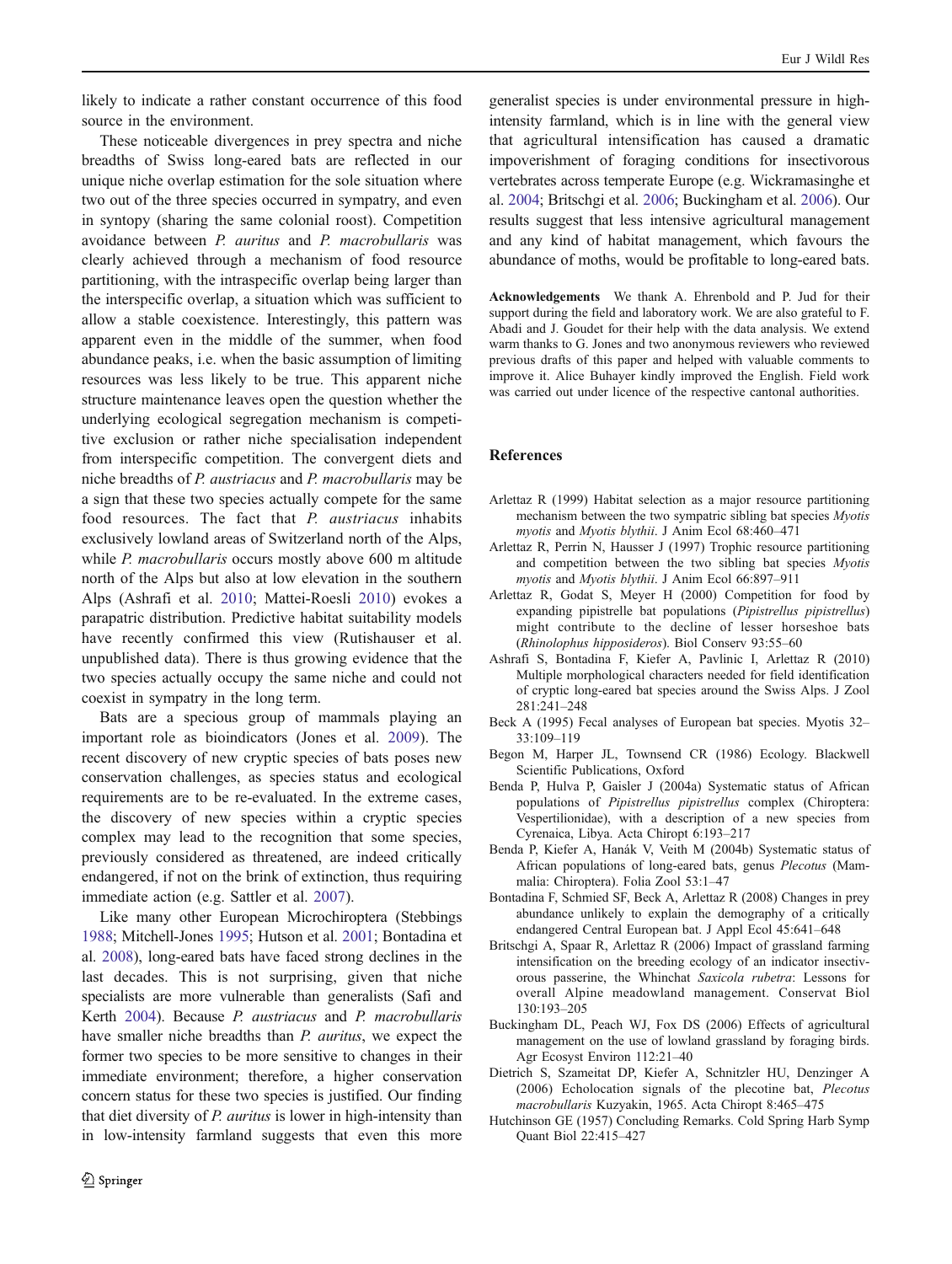<span id="page-5-0"></span>likely to indicate a rather constant occurrence of this food source in the environment.

These noticeable divergences in prey spectra and niche breadths of Swiss long-eared bats are reflected in our unique niche overlap estimation for the sole situation where two out of the three species occurred in sympatry, and even in syntopy (sharing the same colonial roost). Competition avoidance between P. auritus and P. macrobullaris was clearly achieved through a mechanism of food resource partitioning, with the intraspecific overlap being larger than the interspecific overlap, a situation which was sufficient to allow a stable coexistence. Interestingly, this pattern was apparent even in the middle of the summer, when food abundance peaks, i.e. when the basic assumption of limiting resources was less likely to be true. This apparent niche structure maintenance leaves open the question whether the underlying ecological segregation mechanism is competitive exclusion or rather niche specialisation independent from interspecific competition. The convergent diets and niche breadths of P. austriacus and P. macrobullaris may be a sign that these two species actually compete for the same food resources. The fact that P. austriacus inhabits exclusively lowland areas of Switzerland north of the Alps, while P. macrobullaris occurs mostly above 600 m altitude north of the Alps but also at low elevation in the southern Alps (Ashrafi et al. 2010; Mattei-Roesli [2010](#page-6-0)) evokes a parapatric distribution. Predictive habitat suitability models have recently confirmed this view (Rutishauser et al. unpublished data). There is thus growing evidence that the two species actually occupy the same niche and could not coexist in sympatry in the long term.

Bats are a specious group of mammals playing an important role as bioindicators (Jones et al. [2009\)](#page-6-0). The recent discovery of new cryptic species of bats poses new conservation challenges, as species status and ecological requirements are to be re-evaluated. In the extreme cases, the discovery of new species within a cryptic species complex may lead to the recognition that some species, previously considered as threatened, are indeed critically endangered, if not on the brink of extinction, thus requiring immediate action (e.g. Sattler et al. [2007](#page-6-0)).

Like many other European Microchiroptera (Stebbings [1988;](#page-6-0) Mitchell-Jones [1995;](#page-6-0) Hutson et al. [2001;](#page-6-0) Bontadina et al. 2008), long-eared bats have faced strong declines in the last decades. This is not surprising, given that niche specialists are more vulnerable than generalists (Safi and Kerth [2004\)](#page-6-0). Because P. austriacus and P. macrobullaris have smaller niche breadths than P. auritus, we expect the former two species to be more sensitive to changes in their immediate environment; therefore, a higher conservation concern status for these two species is justified. Our finding that diet diversity of P. *auritus* is lower in high-intensity than in low-intensity farmland suggests that even this more

generalist species is under environmental pressure in highintensity farmland, which is in line with the general view that agricultural intensification has caused a dramatic impoverishment of foraging conditions for insectivorous vertebrates across temperate Europe (e.g. Wickramasinghe et al. [2004;](#page-6-0) Britschgi et al. 2006; Buckingham et al. 2006). Our results suggest that less intensive agricultural management and any kind of habitat management, which favours the abundance of moths, would be profitable to long-eared bats.

Acknowledgements We thank A. Ehrenbold and P. Jud for their support during the field and laboratory work. We are also grateful to F. Abadi and J. Goudet for their help with the data analysis. We extend warm thanks to G. Jones and two anonymous reviewers who reviewed previous drafts of this paper and helped with valuable comments to improve it. Alice Buhayer kindly improved the English. Field work was carried out under licence of the respective cantonal authorities.

#### References

- Arlettaz R (1999) Habitat selection as a major resource partitioning mechanism between the two sympatric sibling bat species Myotis myotis and Myotis blythii. J Anim Ecol 68:460–471
- Arlettaz R, Perrin N, Hausser J (1997) Trophic resource partitioning and competition between the two sibling bat species Myotis myotis and Myotis blythii. J Anim Ecol 66:897–911
- Arlettaz R, Godat S, Meyer H (2000) Competition for food by expanding pipistrelle bat populations (Pipistrellus pipistrellus) might contribute to the decline of lesser horseshoe bats (Rhinolophus hipposideros). Biol Conserv 93:55–60
- Ashrafi S, Bontadina F, Kiefer A, Pavlinic I, Arlettaz R (2010) Multiple morphological characters needed for field identification of cryptic long-eared bat species around the Swiss Alps. J Zool 281:241–248
- Beck A (1995) Fecal analyses of European bat species. Myotis 32– 33:109–119
- Begon M, Harper JL, Townsend CR (1986) Ecology. Blackwell Scientific Publications, Oxford
- Benda P, Hulva P, Gaisler J (2004a) Systematic status of African populations of Pipistrellus pipistrellus complex (Chiroptera: Vespertilionidae), with a description of a new species from Cyrenaica, Libya. Acta Chiropt 6:193–217
- Benda P, Kiefer A, Hanák V, Veith M (2004b) Systematic status of African populations of long-eared bats, genus Plecotus (Mammalia: Chiroptera). Folia Zool 53:1–47
- Bontadina F, Schmied SF, Beck A, Arlettaz R (2008) Changes in prey abundance unlikely to explain the demography of a critically endangered Central European bat. J Appl Ecol 45:641–648
- Britschgi A, Spaar R, Arlettaz R (2006) Impact of grassland farming intensification on the breeding ecology of an indicator insectivorous passerine, the Whinchat Saxicola rubetra: Lessons for overall Alpine meadowland management. Conservat Biol 130:193–205
- Buckingham DL, Peach WJ, Fox DS (2006) Effects of agricultural management on the use of lowland grassland by foraging birds. Agr Ecosyst Environ 112:21–40
- Dietrich S, Szameitat DP, Kiefer A, Schnitzler HU, Denzinger A (2006) Echolocation signals of the plecotine bat, Plecotus macrobullaris Kuzyakin, 1965. Acta Chiropt 8:465–475
- Hutchinson GE (1957) Concluding Remarks. Cold Spring Harb Symp Quant Biol 22:415–427